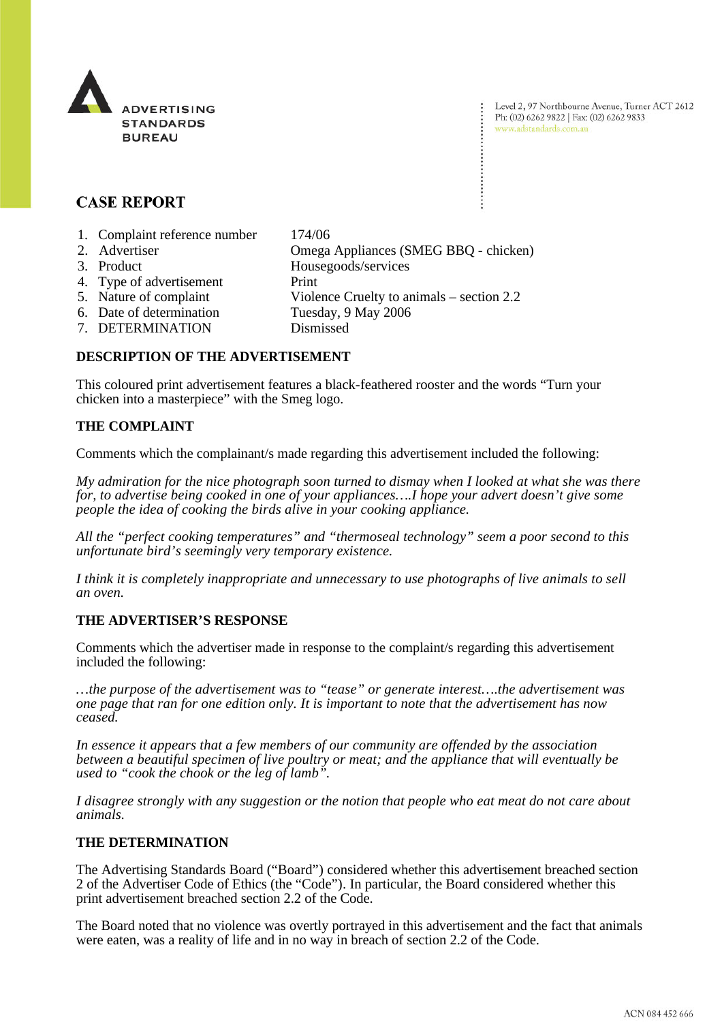

Level 2, 97 Northbourne Avenue, Turner ACT 2612 Ph: (02) 6262 9822 | Fax: (02) 6262 9833 www.adstandards.com.au

# **CASE REPORT**

- 1. Complaint reference number 174/06
- 2. Advertiser Omega Appliances (SMEG BBQ chicken)
- 
- 4. Type of advertisement Print
- 
- 3. Product Housegoods/services
	-
- 5. Nature of complaint Violence Cruelty to animals section 2.2
- 6. Date of determination Tuesday, 9 May 2006
- 7. DETERMINATION Dismissed

## **DESCRIPTION OF THE ADVERTISEMENT**

This coloured print advertisement features a black-feathered rooster and the words "Turn your chicken into a masterpiece" with the Smeg logo.

## **THE COMPLAINT**

Comments which the complainant/s made regarding this advertisement included the following:

*My admiration for the nice photograph soon turned to dismay when I looked at what she was there for, to advertise being cooked in one of your appliances….I hope your advert doesn't give some people the idea of cooking the birds alive in your cooking appliance.* 

*All the "perfect cooking temperatures" and "thermoseal technology" seem a poor second to this unfortunate bird's seemingly very temporary existence.* 

*I think it is completely inappropriate and unnecessary to use photographs of live animals to sell an oven.* 

## **THE ADVERTISER'S RESPONSE**

Comments which the advertiser made in response to the complaint/s regarding this advertisement included the following:

*…the purpose of the advertisement was to "tease" or generate interest….the advertisement was one page that ran for one edition only. It is important to note that the advertisement has now ceased.* 

*In essence it appears that a few members of our community are offended by the association between a beautiful specimen of live poultry or meat; and the appliance that will eventually be used to "cook the chook or the leg of lamb".* 

*I disagree strongly with any suggestion or the notion that people who eat meat do not care about animals.* 

## **THE DETERMINATION**

The Advertising Standards Board ("Board") considered whether this advertisement breached section 2 of the Advertiser Code of Ethics (the "Code"). In particular, the Board considered whether this print advertisement breached section 2.2 of the Code.

The Board noted that no violence was overtly portrayed in this advertisement and the fact that animals were eaten, was a reality of life and in no way in breach of section 2.2 of the Code.